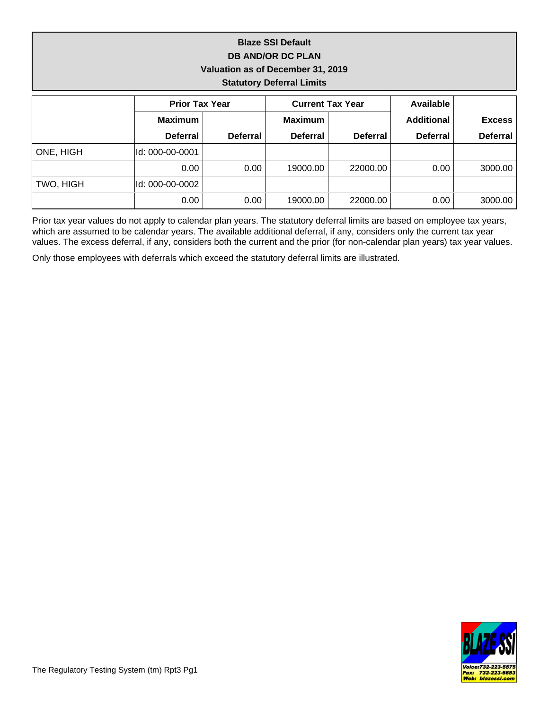### **Blaze SSI Default DB AND/OR DC PLAN Valuation as of December 31, 2019 Statutory Deferral Limits**

|           | <b>Prior Tax Year</b> |                 |                 | <b>Current Tax Year</b> | Available         |                 |  |
|-----------|-----------------------|-----------------|-----------------|-------------------------|-------------------|-----------------|--|
|           | <b>Maximum</b>        |                 | <b>Maximum</b>  |                         | <b>Additional</b> | <b>Excess</b>   |  |
|           | <b>Deferral</b>       | <b>Deferral</b> | <b>Deferral</b> | <b>Deferral</b>         | <b>Deferral</b>   | <b>Deferral</b> |  |
| ONE, HIGH | ld: 000-00-0001       |                 |                 |                         |                   |                 |  |
|           | 0.00                  | 0.00            | 19000.00        | 22000.00                | $0.00\,$          | 3000.00         |  |
| TWO, HIGH | lld: 000-00-0002      |                 |                 |                         |                   |                 |  |
|           | 0.00                  | 0.00            | 19000.00        | 22000.00                | 0.00 <sub>1</sub> | 3000.00         |  |

Prior tax year values do not apply to calendar plan years. The statutory deferral limits are based on employee tax years, which are assumed to be calendar years. The available additional deferral, if any, considers only the current tax year values. The excess deferral, if any, considers both the current and the prior (for non-calendar plan years) tax year values.

Only those employees with deferrals which exceed the statutory deferral limits are illustrated.

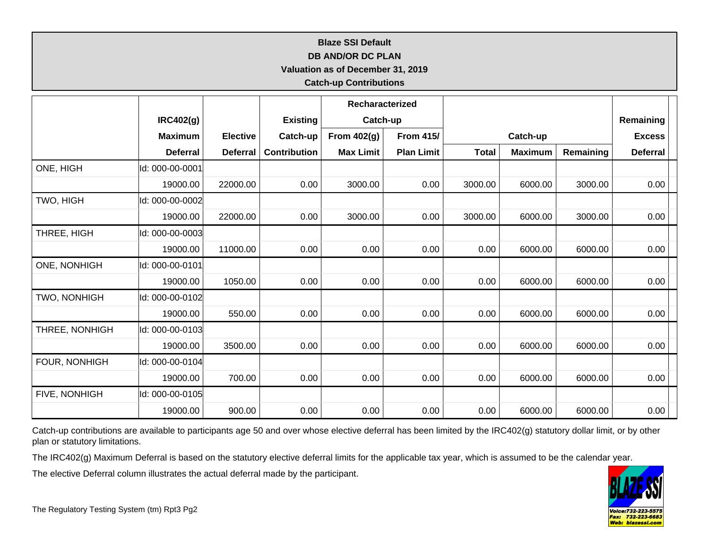# **Blaze SSI Default**

#### **DB AND/OR DC PLAN**

**Valuation as of December 31, 2019**

### **Catch-up Contributions**

|                     |                  |                 |                     | Recharacterized  |                   |              |                |           |                 |  |
|---------------------|------------------|-----------------|---------------------|------------------|-------------------|--------------|----------------|-----------|-----------------|--|
|                     | <b>IRC402(g)</b> |                 | <b>Existing</b>     | Catch-up         |                   |              |                |           | Remaining       |  |
|                     | <b>Maximum</b>   | <b>Elective</b> | Catch-up            | From 402(g)      | <b>From 415/</b>  | Catch-up     |                |           | <b>Excess</b>   |  |
|                     | <b>Deferral</b>  | <b>Deferral</b> | <b>Contribution</b> | <b>Max Limit</b> | <b>Plan Limit</b> | <b>Total</b> | <b>Maximum</b> | Remaining | <b>Deferral</b> |  |
| ONE, HIGH           | ld: 000-00-0001  |                 |                     |                  |                   |              |                |           |                 |  |
|                     | 19000.00         | 22000.00        | 0.00                | 3000.00          | 0.00              | 3000.00      | 6000.00        | 3000.00   | 0.00            |  |
| TWO, HIGH           | ld: 000-00-0002  |                 |                     |                  |                   |              |                |           |                 |  |
|                     | 19000.00         | 22000.00        | 0.00                | 3000.00          | 0.00              | 3000.00      | 6000.00        | 3000.00   | 0.00            |  |
| THREE, HIGH         | ld: 000-00-0003  |                 |                     |                  |                   |              |                |           |                 |  |
|                     | 19000.00         | 11000.00        | 0.00                | 0.00             | 0.00              | 0.00         | 6000.00        | 6000.00   | 0.00            |  |
| <b>ONE, NONHIGH</b> | ld: 000-00-0101  |                 |                     |                  |                   |              |                |           |                 |  |
|                     | 19000.00         | 1050.00         | 0.00                | 0.00             | 0.00              | 0.00         | 6000.00        | 6000.00   | 0.00            |  |
| TWO, NONHIGH        | ld: 000-00-0102  |                 |                     |                  |                   |              |                |           |                 |  |
|                     | 19000.00         | 550.00          | 0.00                | 0.00             | 0.00              | 0.00         | 6000.00        | 6000.00   | 0.00            |  |
| THREE, NONHIGH      | ld: 000-00-0103  |                 |                     |                  |                   |              |                |           |                 |  |
|                     | 19000.00         | 3500.00         | 0.00                | 0.00             | 0.00              | 0.00         | 6000.00        | 6000.00   | 0.00            |  |
| FOUR, NONHIGH       | Id: 000-00-0104  |                 |                     |                  |                   |              |                |           |                 |  |
|                     | 19000.00         | 700.00          | 0.00                | 0.00             | 0.00              | 0.00         | 6000.00        | 6000.00   | 0.00            |  |
| FIVE, NONHIGH       | ld: 000-00-0105  |                 |                     |                  |                   |              |                |           |                 |  |
|                     | 19000.00         | 900.00          | 0.00                | 0.00             | 0.00              | 0.00         | 6000.00        | 6000.00   | 0.00            |  |

Catch-up contributions are available to participants age 50 and over whose elective deferral has been limited by the IRC402(g) statutory dollar limit, or by other plan or statutory limitations.

The IRC402(g) Maximum Deferral is based on the statutory elective deferral limits for the applicable tax year, which is assumed to be the calendar year.

The elective Deferral column illustrates the actual deferral made by the participant.

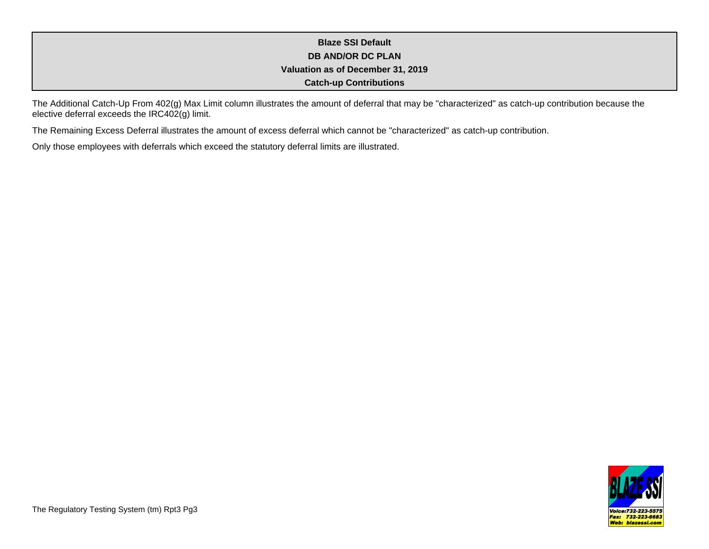## **Blaze SSI Default DB AND/OR DC PLAN Valuation as of December 31, 2019 Catch-up Contributions**

The Additional Catch-Up From 402(g) Max Limit column illustrates the amount of deferral that may be "characterized" as catch-up contribution because the elective deferral exceeds the IRC402(g) limit.

The Remaining Excess Deferral illustrates the amount of excess deferral which cannot be "characterized" as catch-up contribution.

Only those employees with deferrals which exceed the statutory deferral limits are illustrated.

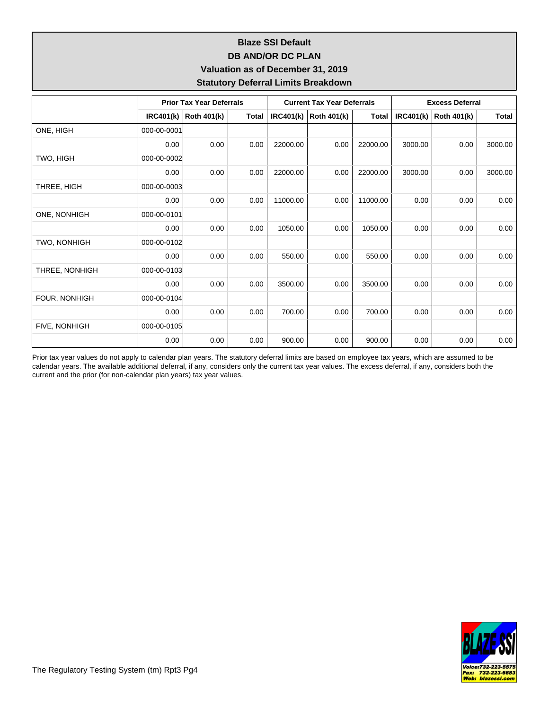## **Blaze SSI Default DB AND/OR DC PLAN Valuation as of December 31, 2019 Statutory Deferral Limits Breakdown**

|                | <b>Prior Tax Year Deferrals</b> |                    |       | <b>Current Tax Year Deferrals</b> |                    |              | <b>Excess Deferral</b> |                    |         |
|----------------|---------------------------------|--------------------|-------|-----------------------------------|--------------------|--------------|------------------------|--------------------|---------|
|                | <b>IRC401(k)</b>                | <b>Roth 401(k)</b> | Total | <b>IRC401(k)</b>                  | <b>Roth 401(k)</b> | <b>Total</b> | <b>IRC401(k)</b>       | <b>Roth 401(k)</b> | Total   |
| ONE, HIGH      | 000-00-0001                     |                    |       |                                   |                    |              |                        |                    |         |
|                | 0.00                            | 0.00               | 0.00  | 22000.00                          | 0.00               | 22000.00     | 3000.00                | 0.00               | 3000.00 |
| TWO, HIGH      | 000-00-0002                     |                    |       |                                   |                    |              |                        |                    |         |
|                | 0.00                            | 0.00               | 0.00  | 22000.00                          | 0.00               | 22000.00     | 3000.00                | 0.00               | 3000.00 |
| THREE, HIGH    | 000-00-0003                     |                    |       |                                   |                    |              |                        |                    |         |
|                | 0.00                            | 0.00               | 0.00  | 11000.00                          | 0.00               | 11000.00     | 0.00                   | 0.00               | 0.00    |
| ONE, NONHIGH   | 000-00-0101                     |                    |       |                                   |                    |              |                        |                    |         |
|                | 0.00                            | 0.00               | 0.00  | 1050.00                           | 0.00               | 1050.00      | 0.00                   | 0.00               | 0.00    |
| TWO, NONHIGH   | 000-00-0102                     |                    |       |                                   |                    |              |                        |                    |         |
|                | 0.00                            | 0.00               | 0.00  | 550.00                            | 0.00               | 550.00       | 0.00                   | 0.00               | 0.00    |
| THREE, NONHIGH | 000-00-0103                     |                    |       |                                   |                    |              |                        |                    |         |
|                | 0.00                            | 0.00               | 0.00  | 3500.00                           | 0.00               | 3500.00      | 0.00                   | 0.00               | 0.00    |
| FOUR, NONHIGH  | 000-00-0104                     |                    |       |                                   |                    |              |                        |                    |         |
|                | 0.00                            | 0.00               | 0.00  | 700.00                            | 0.00               | 700.00       | 0.00                   | 0.00               | 0.00    |
| FIVE, NONHIGH  | 000-00-0105                     |                    |       |                                   |                    |              |                        |                    |         |
|                | 0.00                            | 0.00               | 0.00  | 900.00                            | 0.00               | 900.00       | 0.00                   | 0.00               | 0.00    |

Prior tax year values do not apply to calendar plan years. The statutory deferral limits are based on employee tax years, which are assumed to be calendar years. The available additional deferral, if any, considers only the current tax year values. The excess deferral, if any, considers both the current and the prior (for non-calendar plan years) tax year values.